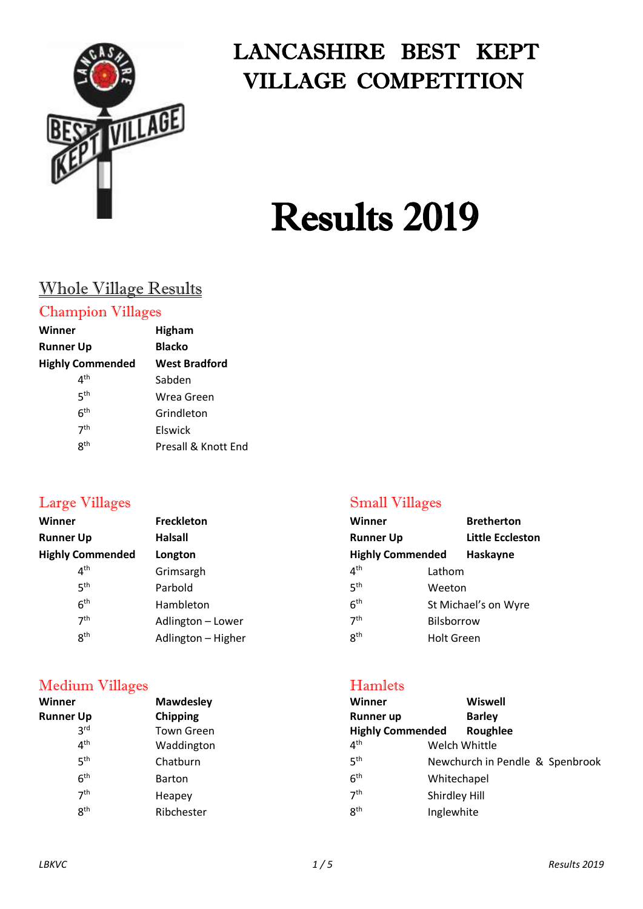

# LANCASHIRE BEST KEPT VILLAGE COMPETITION

# Results 2019

# Whole Village Results

#### Champion Villages

| Winner                                 | Higham               |
|----------------------------------------|----------------------|
| <b>Runner Up</b>                       | <b>Blacko</b>        |
| <b>Highly Commended</b>                | <b>West Bradford</b> |
| $\mathbf{\mathit{\Delta}}^{\text{th}}$ | Sabden               |
| ςth                                    | Wrea Green           |
| 6 <sup>th</sup>                        | Grindleton           |
| 7 <sup>th</sup>                        | Elswick              |
| 8 <sup>th</sup>                        | Presall & Knott End  |
|                                        |                      |

| <b>Bretherton</b>                   |
|-------------------------------------|
| <b>Little Eccleston</b>             |
| <b>Highly Commended</b><br>Haskayne |
| Lathom                              |
| Weeton                              |
| St Michael's on Wyre                |
| Bilsborrow                          |
| <b>Holt Green</b>                   |
|                                     |

#### Medium Villages Hamlets

#### **Winner Mawdesley Winner Wiswell Runner Up Chipping Chipping Runner up Barley** 3rd Town Green **Highly Commended Roughlee**<br>Waddington **Maddington** 4<sup>th</sup> Welch Whittle  $4<sup>th</sup>$ Waddington **Welch Whittle**  $5<sup>th</sup>$ Chatburn  $5<sup>th</sup>$ th Newchurch in Pendle &Spenbrook  $6<sup>th</sup>$ th **Barton** 6 6<sup>th</sup> Whitechapel  $7<sup>th</sup>$ Heapey  $7<sup>th</sup>$ Shirdley Hill **gth** Ribchester  $8<sup>th</sup>$ Inglewhite

#### Large Villages Small Villages

| Winner                  |            | <b>Bretherton</b>    |
|-------------------------|------------|----------------------|
| <b>Runner Up</b>        |            | Little Eccleston     |
| <b>Highly Commended</b> |            | Haskayne             |
| $4^{\sf th}$            | Lathom     |                      |
| гth                     | Weeton     |                      |
| 6 <sup>th</sup>         |            | St Michael's on Wyre |
| 7 <sup>th</sup>         | Bilsborrow |                      |
| R <sup>th</sup>         | Holt Green |                      |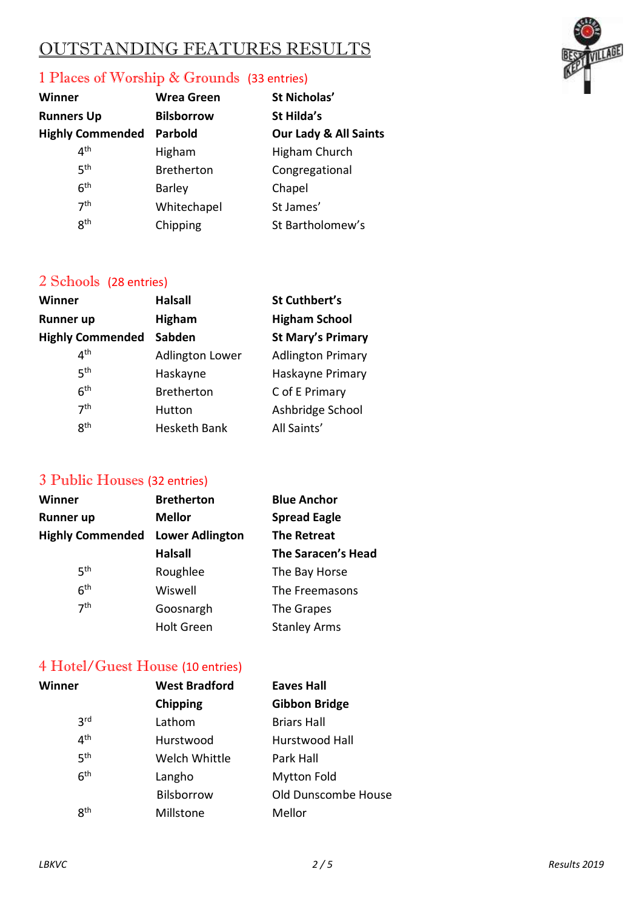# OUTSTANDING FEATURES RESULTS

#### 1 Places of Worship & Grounds (33 entries)

| Winner                  | <b>Wrea Green</b> |
|-------------------------|-------------------|
| <b>Runners Up</b>       | <b>Bilsborrow</b> |
| <b>Highly Commended</b> | <b>Parbold</b>    |
| ⊿th                     | Higham            |
| 5 <sup>th</sup>         | <b>Bretherton</b> |
| 6 <sup>th</sup>         | <b>Barley</b>     |
| 7 <sup>th</sup>         | Whitechapel       |
| gth                     | Chipping          |

 $St$  Nicholas' **St Hilda's Our Lady & All Saints** Higham Church Congregational Chapel St James' St Bartholomew's

#### 2 Schools (28 entries)

| <b>Halsall</b>         | St Cuthbert's            |
|------------------------|--------------------------|
| <b>Higham</b>          | <b>Higham School</b>     |
| Sabden                 | <b>St Mary's Primary</b> |
| <b>Adlington Lower</b> | <b>Adlington Primary</b> |
| Haskayne               | Haskayne Primary         |
| <b>Bretherton</b>      | C of E Primary           |
| Hutton                 | Ashbridge School         |
| <b>Hesketh Bank</b>    | All Saints'              |
|                        |                          |

#### 3 Public Houses (32 entries)

| <b>Winner</b>           | <b>Bretherton</b>      | <b>Blue Anchor</b>        |
|-------------------------|------------------------|---------------------------|
| <b>Runner up</b>        | <b>Mellor</b>          | <b>Spread Eagle</b>       |
| <b>Highly Commended</b> | <b>Lower Adlington</b> | <b>The Retreat</b>        |
|                         | <b>Halsall</b>         | <b>The Saracen's Head</b> |
| 5 <sup>th</sup>         | Roughlee               | The Bay Horse             |
| 6 <sup>th</sup>         | Wiswell                | The Freemasons            |
| 7 <sup>th</sup>         | Goosnargh              | The Grapes                |
|                         | <b>Holt Green</b>      | <b>Stanley Arms</b>       |

#### 4 Hotel/Guest House (10 entries)

| Winner          | <b>West Bradford</b> | <b>Eaves Hall</b>    |
|-----------------|----------------------|----------------------|
|                 | Chipping             | <b>Gibbon Bridge</b> |
| 3 <sup>rd</sup> | Lathom               | <b>Briars Hall</b>   |
| 4 <sup>th</sup> | Hurstwood            | Hurstwood Hall       |
| 5 <sup>th</sup> | Welch Whittle        | Park Hall            |
| 6 <sup>th</sup> | Langho               | <b>Mytton Fold</b>   |
|                 | Bilsborrow           | Old Dunscombe House  |
| 8 <sup>th</sup> | Millstone            | Mellor               |



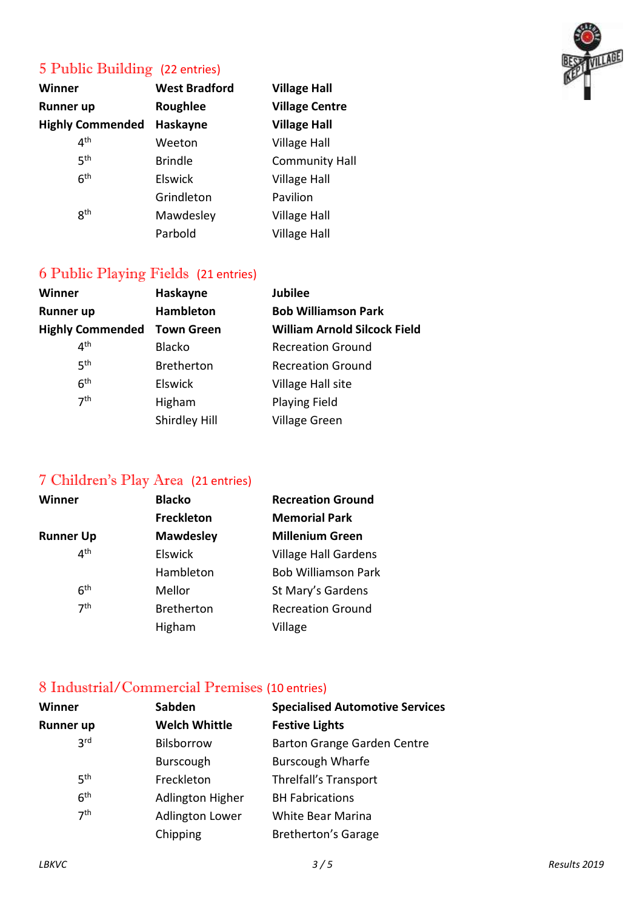

# 5 Public Building (22 entries)

| Winner                  | <b>West Bradford</b> | <b>Village Hall</b>   |
|-------------------------|----------------------|-----------------------|
| <b>Runner up</b>        | Roughlee             | <b>Village Centre</b> |
| <b>Highly Commended</b> | Haskayne             | <b>Village Hall</b>   |
| 4 <sup>th</sup>         | Weeton               | <b>Village Hall</b>   |
| 5 <sup>th</sup>         | <b>Brindle</b>       | <b>Community Hall</b> |
| 6 <sup>th</sup>         | Elswick              | <b>Village Hall</b>   |
|                         | Grindleton           | Pavilion              |
| <b>gth</b>              | Mawdesley            | <b>Village Hall</b>   |
|                         | Parbold              | <b>Village Hall</b>   |

# 6 Public Playing Fields (21 entries)

| <b>Winner</b>           | Haskayne          | <b>Jubilee</b>                      |
|-------------------------|-------------------|-------------------------------------|
| <b>Runner up</b>        | <b>Hambleton</b>  | <b>Bob Williamson Park</b>          |
| <b>Highly Commended</b> | <b>Town Green</b> | <b>William Arnold Silcock Field</b> |
| 4 <sup>th</sup>         | <b>Blacko</b>     | <b>Recreation Ground</b>            |
| 5 <sup>th</sup>         | <b>Bretherton</b> | <b>Recreation Ground</b>            |
| 6 <sup>th</sup>         | <b>Elswick</b>    | Village Hall site                   |
| 7 <sup>th</sup>         | Higham            | <b>Playing Field</b>                |
|                         | Shirdley Hill     | <b>Village Green</b>                |

## 7 Children's Play Area (21 entries)

| <b>Winner</b>    | <b>Blacko</b>     | <b>Recreation Ground</b>    |
|------------------|-------------------|-----------------------------|
|                  | <b>Freckleton</b> | <b>Memorial Park</b>        |
| <b>Runner Up</b> | <b>Mawdesley</b>  | <b>Millenium Green</b>      |
| 4 <sup>th</sup>  | <b>Elswick</b>    | <b>Village Hall Gardens</b> |
|                  | Hambleton         | <b>Bob Williamson Park</b>  |
| 6 <sup>th</sup>  | Mellor            | St Mary's Gardens           |
| 7 <sup>th</sup>  | <b>Bretherton</b> | <b>Recreation Ground</b>    |
|                  | Higham            | Village                     |

# 8 Industrial/Commercial Premises (10 entries)

| Winner          | Sabden                 | <b>Specialised Automotive Services</b> |
|-----------------|------------------------|----------------------------------------|
| Runner up       | <b>Welch Whittle</b>   | <b>Festive Lights</b>                  |
| 3 <sup>rd</sup> | Bilsborrow             | Barton Grange Garden Centre            |
|                 | <b>Burscough</b>       | <b>Burscough Wharfe</b>                |
| 5 <sup>th</sup> | Freckleton             | Threlfall's Transport                  |
| 6 <sup>th</sup> | Adlington Higher       | <b>BH Fabrications</b>                 |
| 7 <sup>th</sup> | <b>Adlington Lower</b> | White Bear Marina                      |
|                 | Chipping               | <b>Bretherton's Garage</b>             |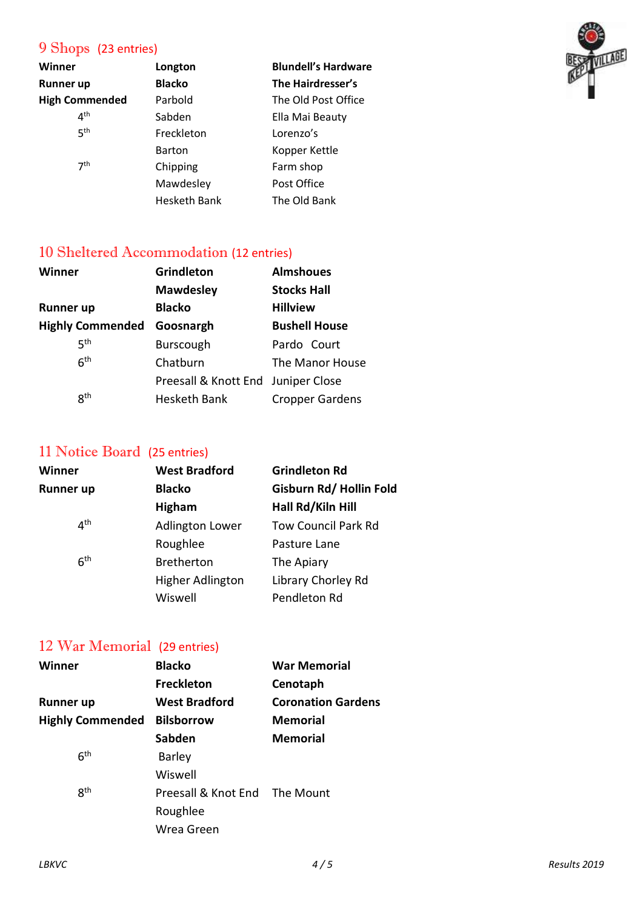# 9 Shops (23 entries)

| Winner                | Longton             | <b>Blundell's Hardware</b> |
|-----------------------|---------------------|----------------------------|
| Runner up             | <b>Blacko</b>       | The Hairdresser's          |
| <b>High Commended</b> | Parbold             | The Old Post Office        |
| 4 <sup>th</sup>       | Sabden              | Ella Mai Beauty            |
| 5 <sup>th</sup>       | Freckleton          | Lorenzo's                  |
|                       | <b>Barton</b>       | Kopper Kettle              |
| 7 <sup>th</sup>       | Chipping            | Farm shop                  |
|                       | Mawdesley           | Post Office                |
|                       | <b>Hesketh Bank</b> | The Old Bank               |

#### 10 Sheltered Accommodation (12 entries)

| Winner                  | <b>Grindleton</b>                  | <b>Almshoues</b>       |  |
|-------------------------|------------------------------------|------------------------|--|
|                         | <b>Mawdesley</b>                   | <b>Stocks Hall</b>     |  |
| <b>Runner up</b>        | <b>Blacko</b>                      | <b>Hillview</b>        |  |
| <b>Highly Commended</b> | Goosnargh                          | <b>Bushell House</b>   |  |
| <b>5th</b>              | <b>Burscough</b>                   | Pardo Court            |  |
| 6 <sup>th</sup>         | Chatburn                           | The Manor House        |  |
|                         | Preesall & Knott End Juniper Close |                        |  |
| 8 <sup>th</sup>         | <b>Hesketh Bank</b>                | <b>Cropper Gardens</b> |  |

## 11 Notice Board (25 entries)

| Winner          | <b>West Bradford</b>   | <b>Grindleton Rd</b>       |
|-----------------|------------------------|----------------------------|
| Runner up       | <b>Blacko</b>          | Gisburn Rd/Hollin Fold     |
|                 | <b>Higham</b>          | Hall Rd/Kiln Hill          |
| 4 <sup>th</sup> | <b>Adlington Lower</b> | <b>Tow Council Park Rd</b> |
|                 | Roughlee               | Pasture Lane               |
| 6 <sup>th</sup> | <b>Bretherton</b>      | The Apiary                 |
|                 | Higher Adlington       | Library Chorley Rd         |
|                 | Wiswell                | Pendleton Rd               |
|                 |                        |                            |

## 12 War Memorial (29 entries)

| Winner                  | <b>Blacko</b>        | <b>War Memorial</b>       |  |
|-------------------------|----------------------|---------------------------|--|
|                         | <b>Freckleton</b>    | Cenotaph                  |  |
| Runner up               | <b>West Bradford</b> | <b>Coronation Gardens</b> |  |
| <b>Highly Commended</b> | <b>Bilsborrow</b>    | <b>Memorial</b>           |  |
|                         | Sabden               | <b>Memorial</b>           |  |
| 6 <sup>th</sup>         | <b>Barley</b>        |                           |  |
|                         | Wiswell              |                           |  |
| <b>Rth</b>              | Preesall & Knot End  | The Mount                 |  |
|                         | Roughlee             |                           |  |
|                         | Wrea Green           |                           |  |
|                         |                      |                           |  |